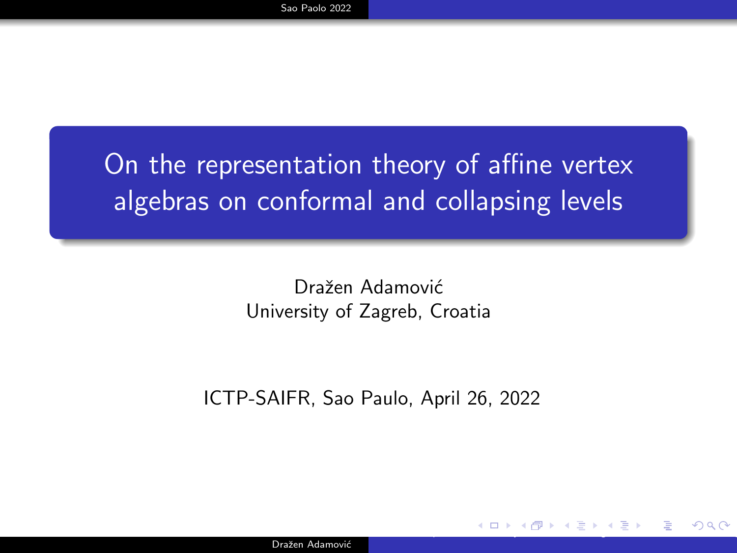# <span id="page-0-0"></span>On the representation theory of affine vertex algebras on conformal and collapsing levels

Dražen Adamović University of Zagreb, Croatia

ICTP-SAIFR, Sao Paulo, April 26, 2022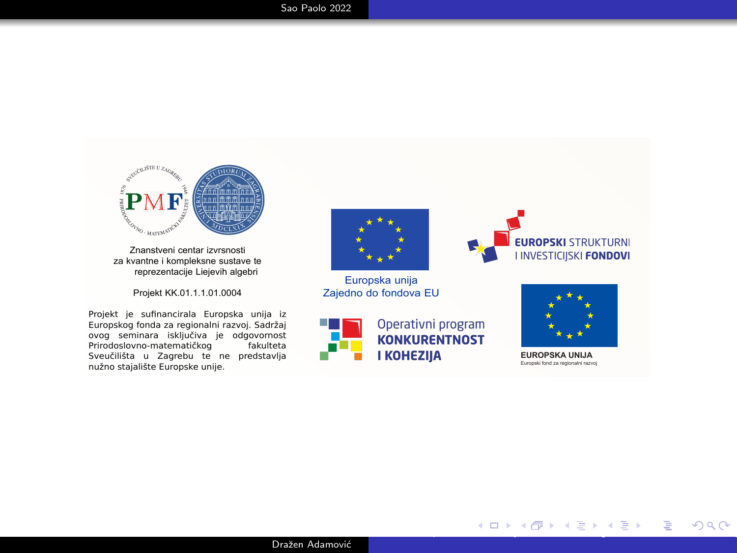<span id="page-1-0"></span>

Znanstveni centar izvrsnosti za kvantne i kompleksne sustave te reprezentacije Liejevih algebri

Projekt KK.01.1.1.01.0004

Projekt je sufinancirala Europska unija iz Europskog fonda za regionalni razvoj. Sadržaj ovog seminara isključiva je odgovornost Prirodoslovno-matematičkog Sveučilišta u Zagrebu te ne predstavlja nužno stajalište Europske unije.



Europska unija Zajedno do fondova EU







EUROPSKA UNIJA Europski fond za regionalni razvoj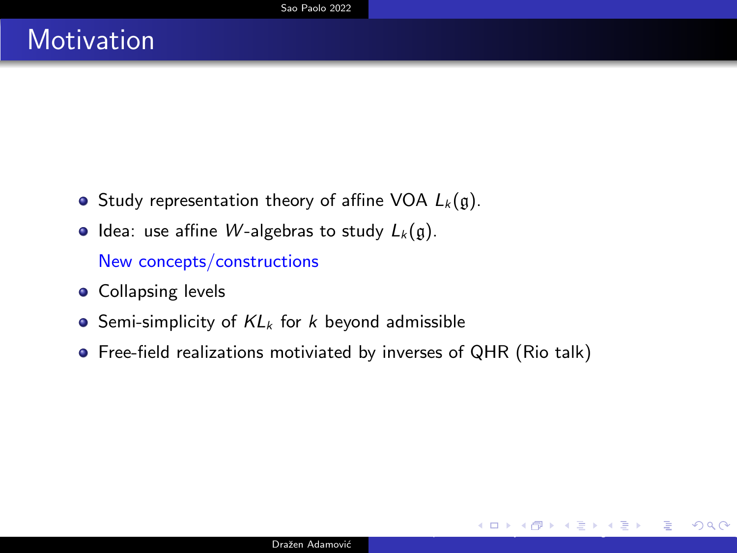- <span id="page-2-0"></span>• Study representation theory of affine VOA  $L_k(\mathfrak{g})$ .
- $\bullet$  Idea: use affine *W*-algebras to study  $L_k(\mathfrak{g})$ .

New concepts/constructions

- **•** Collapsing levels
- Semi-simplicity of  $KL_k$  for k beyond admissible
- **•** Free-field realizations motiviated by inverses of QHR (Rio talk)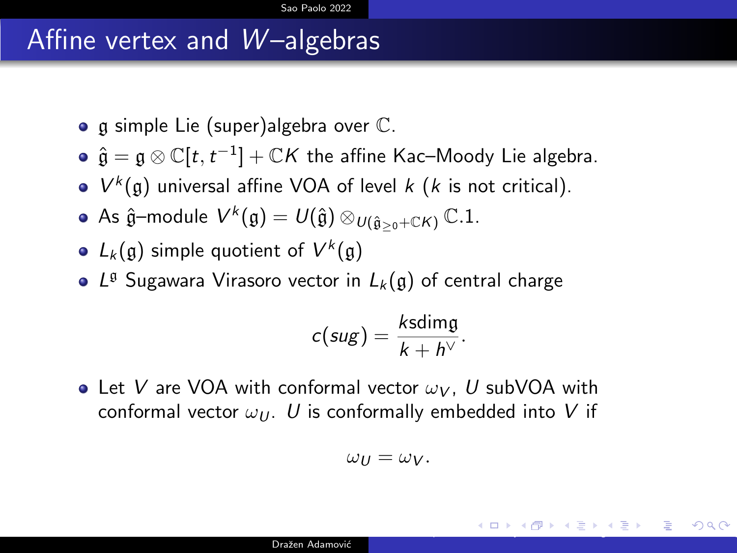### <span id="page-3-0"></span>Affine vertex and  $W$ -algebras

- g simple Lie (super)algebra over C.
- $\hat{\mathfrak g}=\mathfrak g\otimes \mathbb C[t,t^{-1}]+\mathbb C\mathcal K$  the affine Kac–Moody Lie algebra.
- $V^k(\mathfrak{g})$  universal affine VOA of level k (k is not critical).
- As ĝ–module  $V^{k}(\mathfrak{g})=U(\hat{\mathfrak{g}})\otimes_{U(\hat{\mathfrak{g}}_{\geq 0}+\mathbb{C}\mathcal{K})}\mathbb{C}.1.$
- $L_k(\mathfrak{g})$  simple quotient of  $V^k(\mathfrak{g})$
- $L^{\mathfrak{g}}$  Sugawara Virasoro vector in  $L_k(\mathfrak{g})$  of central charge

$$
c(sug) = \frac{k \text{sdimg}}{k + h^{\vee}}.
$$

• Let V are VOA with conformal vector  $\omega_V$ , U subVOA with conformal vector  $\omega_U$ . U is conformally embedded into V if

$$
\omega_U=\omega_V.
$$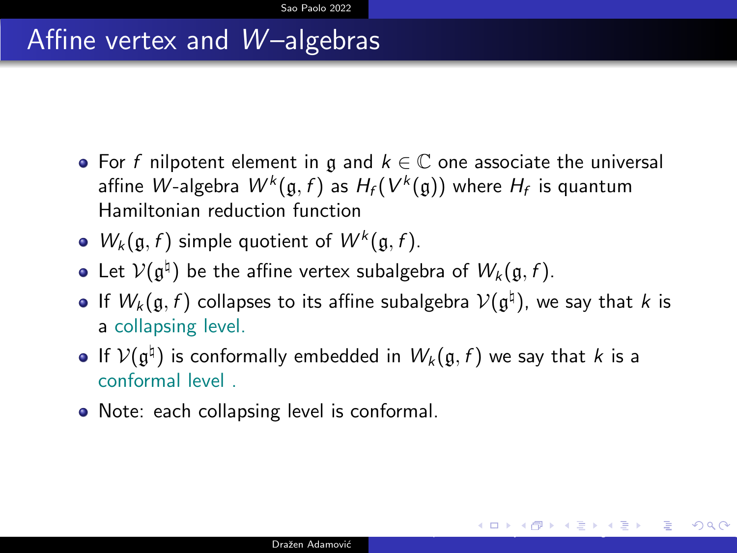### <span id="page-4-0"></span>Affine vertex and  $W$ -algebras

- For f nilpotent element in g and  $k \in \mathbb{C}$  one associate the universal affine  $W$ -algebra  $W^k(\mathfrak{g},f)$  as  $H_f(V^k(\mathfrak{g}))$  where  $H_f$  is quantum Hamiltonian reduction function
- $W_k(\mathfrak{g}, f)$  simple quotient of  $W^k(\mathfrak{g}, f)$ .
- Let  $V(\mathfrak{g}^{\natural})$  be the affine vertex subalgebra of  $W_k(\mathfrak{g},f)$ .
- If  $W_k(\mathfrak{g},f)$  collapses to its affine subalgebra  $\mathcal{V}(\mathfrak{g}^{\natural})$ , we say that  $k$  is a collapsing level.

- If  $\mathcal{V}(\mathfrak{g}^{\natural})$  is conformally embedded in  $W_k(\mathfrak{g},f)$  we say that  $k$  is a conformal level .
- Note: each collapsing level is conformal.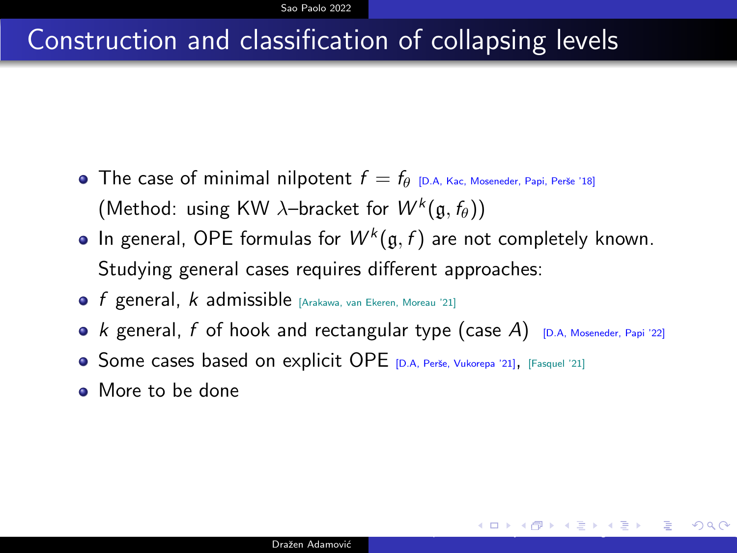## <span id="page-5-0"></span>Construction and classification of collapsing levels

- **•** The case of minimal nilpotent  $f = f_{\theta}$  [D.A, Kac, Moseneder, Papi, Perše '18] (Method: using KW  $\lambda$ –bracket for  $W^k(\mathfrak{g},f_{\theta})$ )
- In general, OPE formulas for  $W^{k}(\mathfrak{g},f)$  are not completely known. Studying general cases requires different approaches:
- $\bullet$  f general, k admissible [Arakawa, van Ekeren, Moreau '21]
- $k$  general, f of hook and rectangular type (case  $A$ ) [D.A, Moseneder, Papi '22]

- Some cases based on explicit OPE [D.A, Perše, Vukorepa '21], [Fasquel '21]
- More to be done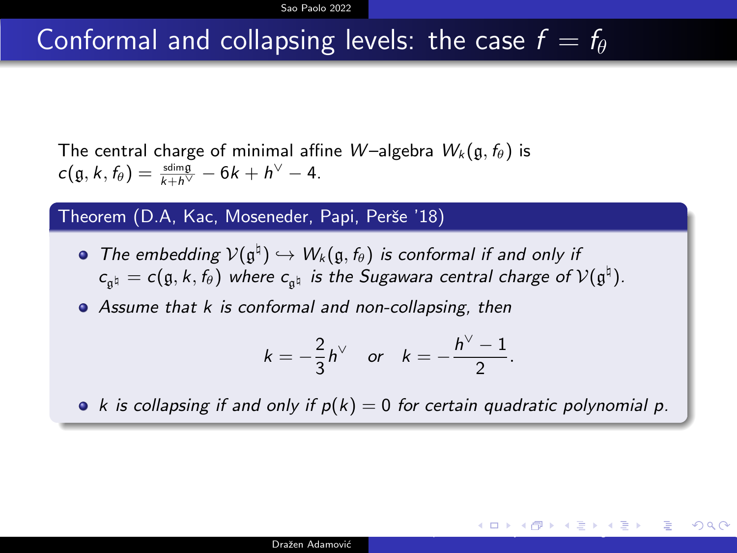## <span id="page-6-0"></span>Conformal and collapsing levels: the case  $f = f_{\theta}$

The central charge of minimal affine W-algebra  $W_k$  (g,  $f_\theta$ ) is  $c(\mathfrak{g}, k, f_{\theta}) = \frac{\text{sdimg}}{k+h^{\vee}} - 6k + h^{\vee} - 4.$ 

#### Theorem (D.A, Kac, Moseneder, Papi, Perše '18)

The embedding  $V(\mathfrak{g}^{\natural}) \hookrightarrow W_k(\mathfrak{g}, f_{\theta})$  is conformal if and only if  $c_{\mathfrak{g}^\natural} = c(\mathfrak{g},k,\mathit{f}_{\theta})$  where  $c_{\mathfrak{g}^\natural}$  is the Sugawara central charge of  $\mathcal{V}(\mathfrak{g}^\natural)$ .

• Assume that k is conformal and non-collapsing, then

$$
k=-\frac{2}{3}h^{\vee} \quad \text{or} \quad k=-\frac{h^{\vee}-1}{2}.
$$

 $\langle \langle \rangle$  the representation theory of  $\langle \rangle$ 

• k is collapsing if and only if  $p(k) = 0$  for certain quadratic polynomial p.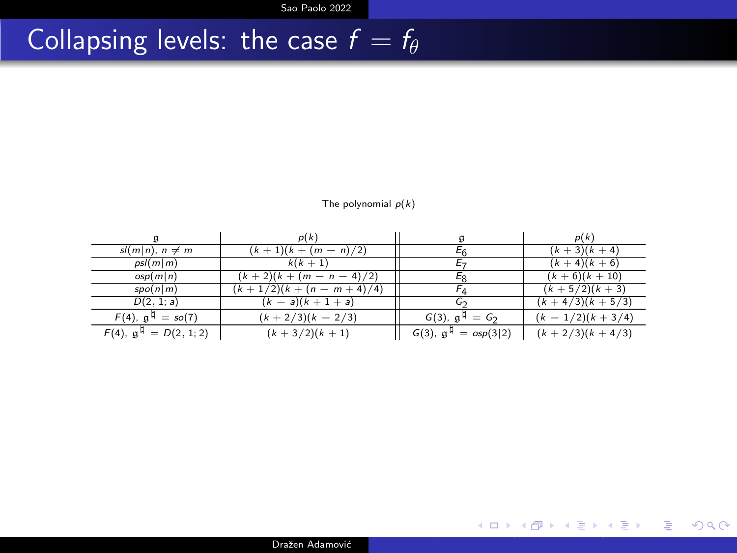### <span id="page-7-0"></span>Collapsing levels: the case  $f = f_{\theta}$

|                                           | p(k)                           |                                         | p(k)                 |
|-------------------------------------------|--------------------------------|-----------------------------------------|----------------------|
| $sl(m n)$ , $n \neq m$                    | $(k + 1)(k + (m - n)/2)$       |                                         | $(k + 3)(k + 4)$     |
| psl(m m)                                  | $k(k+1)$                       | Η                                       | $(k + 4)(k + 6)$     |
| osp(m n)                                  | $(k + 2)(k + (m - n - 4)/2)$   | Εg                                      | $(k + 6)(k + 10)$    |
| spo(n m)                                  | $(k + 1/2)(k + (n - m + 4)/4)$ | FΛ                                      | $(k + 5/2)(k + 3)$   |
| D(2, 1; a)                                | $(k - a)(k + 1 + a)$           | ပဂ                                      | $(k + 4/3)(k + 5/3)$ |
| $F(4)$ , $g^{\sharp} = so(7)$             | $(k + 2/3)(k - 2/3)$           | $G(3)$ , $g^{\frac{n}{2}} = G_2$        | $(k - 1/2)(k + 3/4)$ |
| $F(4)$ , g <sup>q</sup><br>$= D(2, 1; 2)$ | $(k + 3/2)(k + 1)$             | $G(3)$ , g <sup>4</sup><br>$=$ osp(3 2) | $(k + 2/3)(k + 4/3)$ |

The polynomial  $p(k)$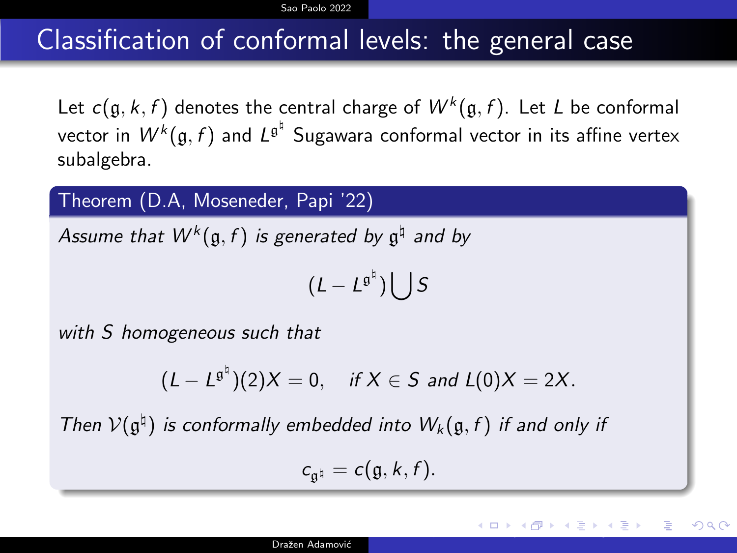## <span id="page-8-0"></span>Classification of conformal levels: the general case

Let  $c(\mathfrak{g},k,\mathfrak{f})$  denotes the central charge of  $W^{k}(\mathfrak{g},\mathfrak{f}).$  Let  $L$  be conformal vector in  $W^{k}(\mathfrak{g},f)$  and  $L^{\mathfrak{g}^{\natural}}$  Sugawara conformal vector in its affine vertex subalgebra.

Theorem (D.A, Moseneder, Papi '22)

Assume that  $W^{k}(\mathfrak{g},f)$  is generated by  $\mathfrak{g}^{\natural}$  and by

$$
(L-L^{\mathfrak{g}^{\natural}})\bigcup S
$$

with S homogeneous such that

$$
(L - L^{g^{\natural}})(2)X = 0, \quad \text{if } X \in S \text{ and } L(0)X = 2X.
$$

Then  $V(\mathfrak{g}^{\natural})$  is conformally embedded into  $W_k(\mathfrak{g}, f)$  if and only if

$$
c_{\mathfrak{g}^{\natural}}=c(\mathfrak{g},k,f).
$$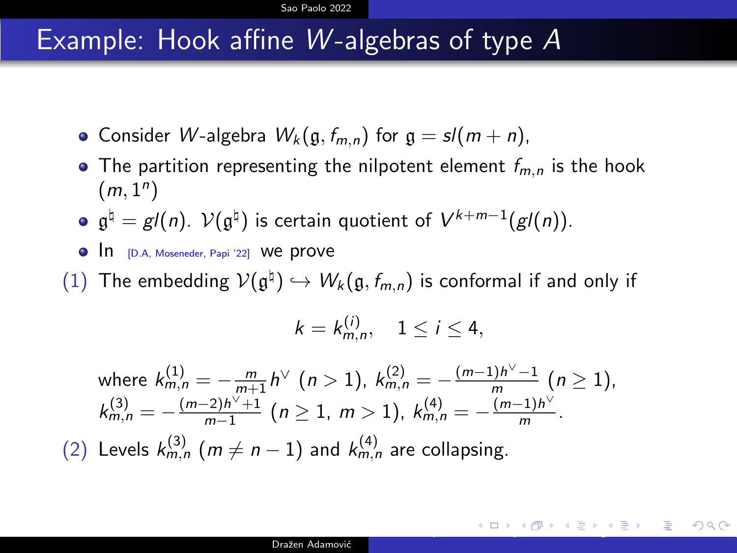### <span id="page-9-0"></span>Example: Hook affine W-algebras of type  $\overline{A}$

- Consider W-algebra  $W_k(g, f_{m,n})$  for  $g = sl(m+n)$ ,
- The partition representing the nilpotent element  $f_{m,n}$  is the hook  $(m,1^n)$
- $\mathfrak{g}^{\natural} = \mathfrak{gl}(n).$   $\mathcal{V}(\mathfrak{g}^{\natural})$  is certain quotient of  $\mathcal{V}^{k+m-1}(\mathfrak{gl}(n)).$
- **In** [D.A, Moseneder, Papi '22] We prove

 $(1)$  The embedding  $\mathcal{V}(\mathfrak{g}^{\natural}) \hookrightarrow W_{k}(\mathfrak{g},f_{m,n})$  is conformal if and only if

$$
k=k_{m,n}^{(i)},\quad 1\leq i\leq 4,
$$

where 
$$
k_{m,n}^{(1)} = -\frac{m}{m+1}h^{\vee}
$$
  $(n > 1)$ ,  $k_{m,n}^{(2)} = -\frac{(m-1)h^{\vee}-1}{m}$   $(n \ge 1)$ ,  
\n $k_{m,n}^{(3)} = -\frac{(m-2)h^{\vee}+1}{m-1}$   $(n \ge 1, m > 1)$ ,  $k_{m,n}^{(4)} = -\frac{(m-1)h^{\vee}}{m}$ .  
\n(2) Levels  $k_{m,n}^{(3)}$   $(m \ne n-1)$  and  $k_{m,n}^{(4)}$  are collapsing.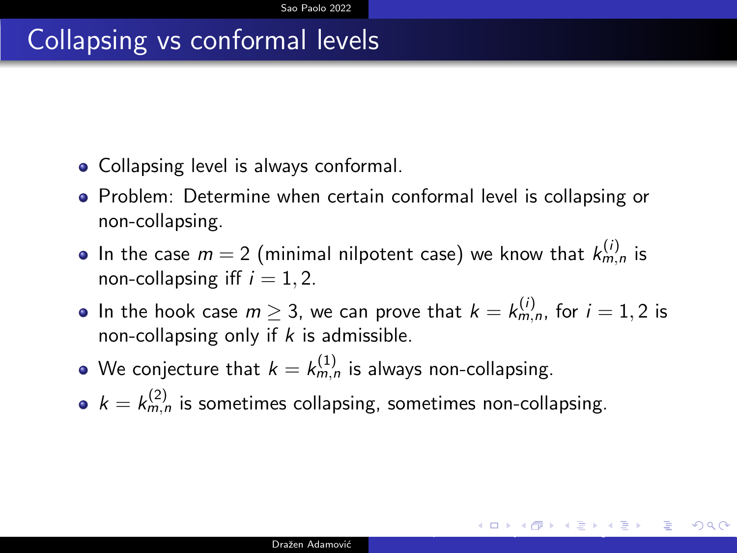## <span id="page-10-0"></span>Collapsing vs conformal levels

- Collapsing level is always conformal.
- Problem: Determine when certain conformal level is collapsing or non-collapsing.
- In the case  $m=2$  (minimal nilpotent case) we know that  $k_{m,n}^{(i)}$  is non-collapsing iff  $i = 1, 2$ .
- In the hook case  $m\geq 3$ , we can prove that  $k=k_{m,n}^{(i)},$  for  $i=1,2$  is non-collapsing only if  $k$  is admissible.

- We conjecture that  $k = k_{m,n}^{(1)}$  is always non-collapsing.
- $k = k_{m,n}^{(2)}$  is sometimes collapsing, sometimes non-collapsing.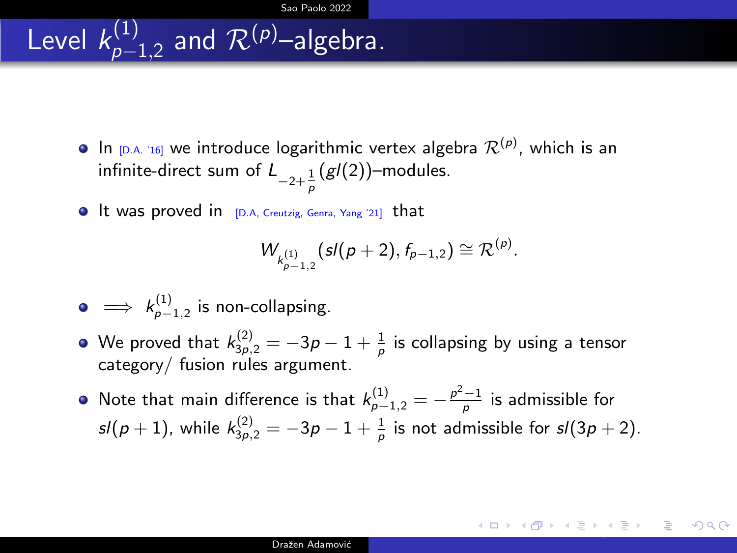### <span id="page-11-0"></span>Level  $k_{p-}^{(1)}$  $p_{p-1,2}^{(1)}$  and  $\mathcal{R}^{(p)}$ –algebra.

- In  $_{[D.A. '16]}$  we introduce logarithmic vertex algebra  $\mathcal{R}^{(p)}$ , which is an infinite-direct sum of  $L_{-2+\frac{1}{p}}(g\prime(2))$ –modules.
- **It was proved in** [D.A, Creutzig, Genra, Yang '21] that

$$
W_{k_{p-1,2}^{(1)}}(sl(p+2),f_{p-1,2})\cong \mathcal{R}^{(p)}.
$$

- $\implies k_{p-1,2}^{(1)}$  is non-collapsing.
- We proved that  $k_{3\rho,2}^{(2)} = -3\rho 1 + \frac{1}{\rho}$  is collapsing by using a tensor category/ fusion rules argument.
- Note that main difference is that  $k_{p-1,2}^{(1)} = -\frac{p^2-1}{p}$  is admissible for  $\mathsf{sl}(p+1)$ , while  $\mathsf{k}_{3p,2}^{(2)}=-3p-1+\frac{1}{p}$  is not admissible for  $\mathsf{sl}(3p+2).$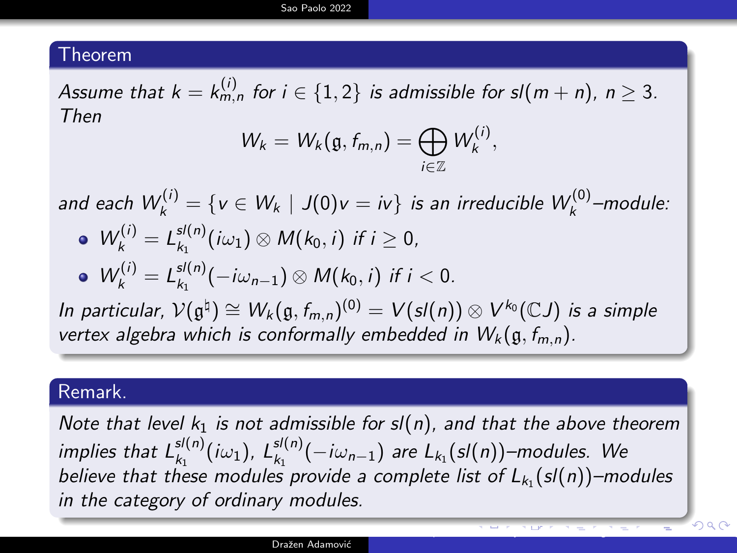#### <span id="page-12-0"></span>Theorem

Assume that  $k = k_{m,n}^{(i)}$  for  $i \in \{1,2\}$  is admissible for sl $(m+n)$ ,  $n \geq 3$ . Then

$$
W_k = W_k(\mathfrak{g}, f_{m,n}) = \bigoplus_{i \in \mathbb{Z}} W_k^{(i)},
$$

and each  $W_k^{(i)} = \{v \in W_k \mid J(0)v = iv\}$  is an irreducible  $W_k^{(0)}$  $\binom{N}{k}$ –module:

 $W_k^{(i)} = L_{k_1}^{sl(n)}$  $\sum_{k_1}^{s_1(n)}(i\omega_1)\otimes M(k_0,i)$  if  $i\geq 0$ ,  $W_k^{(i)} = L_{k_1}^{sl(n)}$  $\int_{k_1}^{s_1(n)}(-i\omega_{n-1})\otimes M(k_0,i)$  if  $i<0$ .

In particular,  $\mathcal{V}(\mathfrak{g}^{\natural}) \cong W_k(\mathfrak{g},f_{m,n})^{(0)} = V(sl(n)) \otimes V^{k_0}(\mathbb{C}J)$  is a simple vertex algebra which is conformally embedded in  $W_k(\mathfrak{g}, f_{m,n})$ .

### Remark.

Note that level  $k_1$  is not admissible for  $sl(n)$ , and that the above theorem implies that  $L_k^{\mathfrak{sl}(n)}$  $\zeta_{k_1}^{s l(n)}(i\omega_1), \; \zeta_{k_1}^{s l(n)}$  $\mathcal{L}_{k_1}^{s(n)}(-i\omega_{n-1})$  are  $L_{k_1}(sl(n))$ -modules. We believe that these modules provide a complete list of  $L_{k_1}(sl(n))$ –modules in the category of ordinary modules.

[On the representation theory of affine vertex algebras on conformal and collapsing levels](#page-0-0)

nar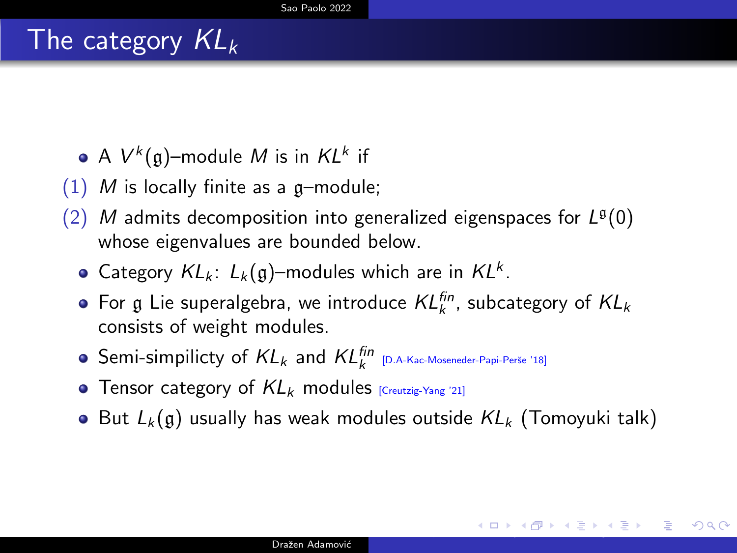# <span id="page-13-0"></span>The category  $KL_k$

- A  $V^k(\mathfrak{g})$ –module  $M$  is in  $\mathsf{KL}^\mathsf{k}$  if
- (1) M is locally finite as a  $\mathfrak{g}$ -module;
- (2) *M* admits decomposition into generalized eigenspaces for  $L^{g}(0)$ whose eigenvalues are bounded below.
	- Category  $KL_k$ :  $L_k(g)$ -modules which are in  $KL^k$ .
	- For  $\frak g$  Lie superalgebra, we introduce  $\mathcal{KL}^{\textit{fin}}_k$ , subcategory of  $\mathcal{KL}_k$ consists of weight modules.
	- Semi-simpilicty of  $\mathsf{KL}_k$  and  $\mathsf{KL}^\mathsf{fin}_{k}$  [D.A-Kac-Moseneder-Papi-Perše '18]
	- Tensor category of  $KL_k$  modules [Creutzig-Yang '21]
	- But  $L_k(\mathfrak{g})$  usually has weak modules outside  $KL_k$  (Tomoyuki talk)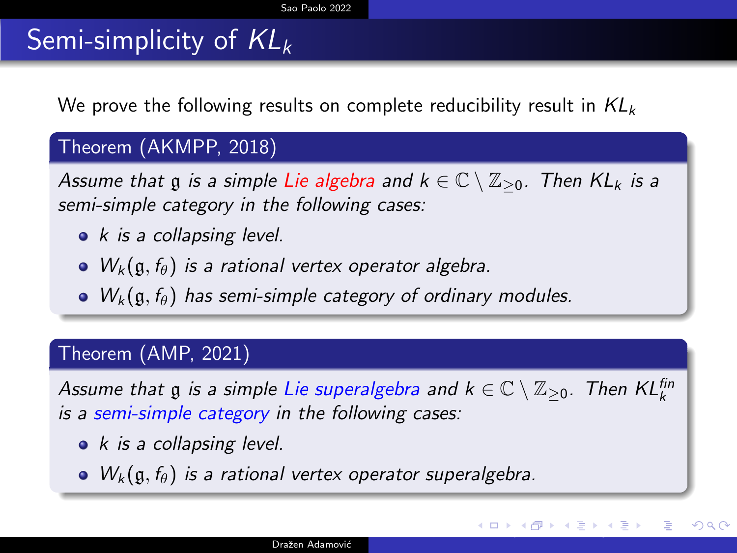## <span id="page-14-0"></span>Semi-simplicity of  $KL_k$

We prove the following results on complete reducibility result in  $KL_k$ 

### Theorem (AKMPP, 2018)

Assume that g is a simple Lie algebra and  $k \in \mathbb{C} \setminus \mathbb{Z}_{\geq 0}$ . Then KL<sub>k</sub> is a semi-simple category in the following cases:

- $\bullet$  k is a collapsing level.
- $W_k(\mathfrak{g}, f_\theta)$  is a rational vertex operator algebra.
- $W_k(\mathfrak{g}, f_\theta)$  has semi-simple category of ordinary modules.

### Theorem (AMP, 2021)

Assume that  $\frak g$  is a simple Lie superalgebra and  $k\in\mathbb{C}\setminus\mathbb{Z}_{\geq 0}.$  Then  $\mathsf{KL}^\mathsf{fin}_k$ is a semi-simple category in the following cases:

 $\langle \pm 1\rangle$  affine vertex affine vertex affine vertex affine vertex affine vertex and conformal and collapsing levels and collapsing levels and collapsing levels and collapsing levels and conformal and collapsing levels an

- $\bullet$  k is a collapsing level.
- $W_k(\mathfrak{g}, f_{\theta})$  is a rational vertex operator superalgebra.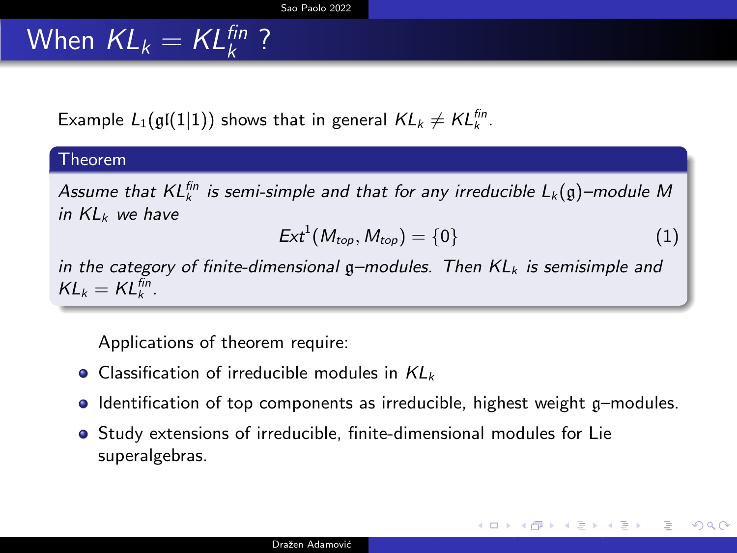# <span id="page-15-0"></span>When  $KL_k = KL_k^{\text{fin}}$  ?

Example  $L_1(\mathfrak{gl}(1|1))$  shows that in general  $\mathsf{KL}_k \neq \mathsf{KL}_k^{\mathsf{fin}}$ .

#### Theorem

Assume that  $\mathsf{KL}_{k}^{\mathsf{fin}}$  is semi-simple and that for any irreducible  $L_k(\mathfrak{g})$ –module M in  $KL_k$  we have

$$
Ext1(Mtop, Mtop) = \{0\}
$$
 (1)

[On the representation theory of affine vertex algebras on conformal and collapsing levels](#page-0-0)

in the category of finite-dimensional  $g$ -modules. Then  $KL_k$  is semisimple and  $KL_k = KL_k^{\text{fin}}$ .

Applications of theorem require:

- Classification of irreducible modules in  $KL_k$
- $\bullet$  Identification of top components as irreducible, highest weight  $g$ –modules.
- Study extensions of irreducible, finite-dimensional modules for Lie superalgebras.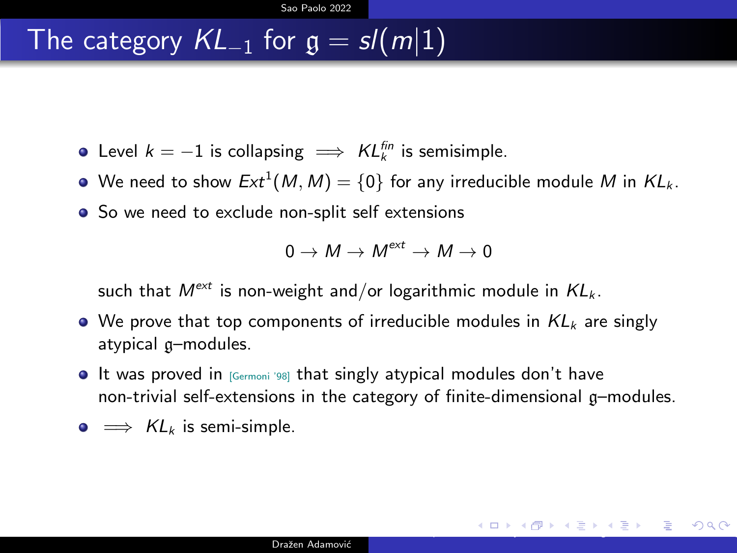# <span id="page-16-0"></span>The category  $KL_{-1}$  for  $\mathfrak{g} = sl(m|1)$

- Level  $k = -1$  is collapsing  $\implies \mathcal{K}L_k^{\text{fin}}$  is semisimple.
- We need to show  $\mathit{Ext}^1(M,M)=\{0\}$  for any irreducible module  $M$  in  $\mathcal{K}L_k.$
- So we need to exclude non-split self extensions

$$
0\to M\to M^{\text{ext}}\to M\to 0
$$

such that  $M<sup>ext</sup>$  is non-weight and/or logarithmic module in  $KL_k$ .

- $\bullet$  We prove that top components of irreducible modules in  $KL_k$  are singly atypical g–modules.
- **It was proved in [Germoni '98] that singly atypical modules don't have** non-trivial self-extensions in the category of finite-dimensional g–modules.

[On the representation theory of affine vertex algebras on conformal and collapsing levels](#page-0-0)

 $\bullet \implies KL_k$  is semi-simple.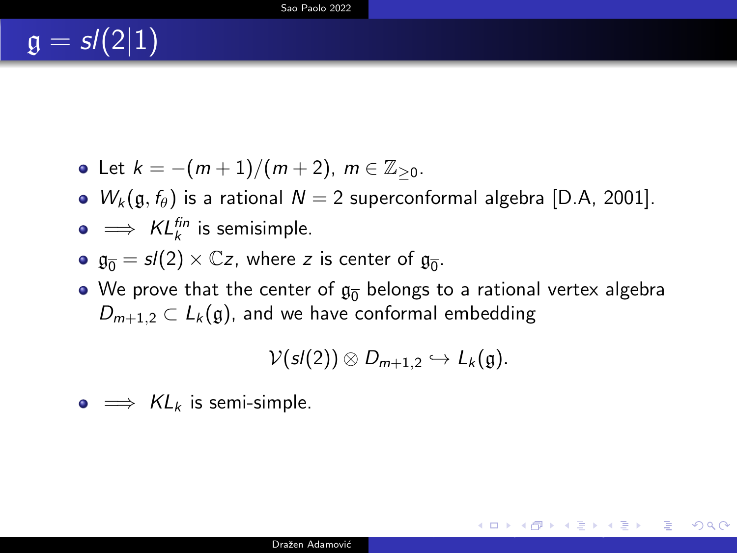# <span id="page-17-0"></span> $\overline{\mathfrak{g}} = \mathfrak{sl}(2|1)$

- Let  $k = -(m+1)/(m+2)$ ,  $m \in \mathbb{Z}_{\geq 0}$ .
- $W_k(g, f_\theta)$  is a rational  $N = 2$  superconformal algebra [D.A, 2001].
- $\implies$  KL<sup>fin</sup> is semisimple.
- $\mathfrak{g}_{\overline{0}} = sl(2) \times \mathbb{C}z$ , where z is center of  $\mathfrak{g}_{\overline{0}}$ .
- We prove that the center of  $\mathfrak{g}_{\overline{0}}$  belongs to a rational vertex algebra  $D_{m+1,2} \subset L_k(\mathfrak{g})$ , and we have conformal embedding

$$
\mathcal{V}(sl(2))\otimes D_{m+1,2}\hookrightarrow L_k(\mathfrak{g}).
$$

[On the representation theory of affine vertex algebras on conformal and collapsing levels](#page-0-0)

 $\bullet \implies KL_k$  is semi-simple.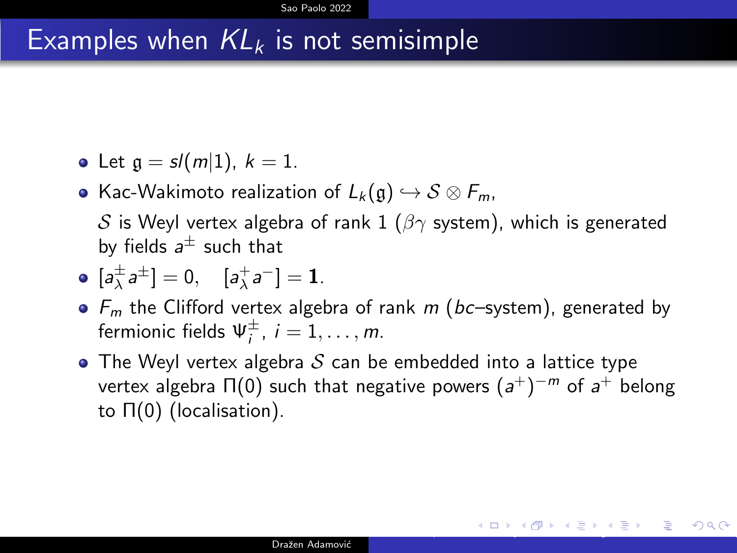### <span id="page-18-0"></span>Examples when  $KL_k$  is not semisimple

• Let 
$$
\mathfrak{g} = sl(m|1)
$$
,  $k = 1$ .

• Kac-Wakimoto realization of  $L_k(\mathfrak{g}) \hookrightarrow S \otimes F_m$ ,

S is Weyl vertex algebra of rank 1 ( $\beta\gamma$  system), which is generated by fields  $a^{\pm}$  such that

$$
\bullet \ [a_{\lambda}^{\pm} a^{\pm}] = 0, \quad [a_{\lambda}^{+} a^{-}] = 1.
$$

- $\bullet$   $F_m$  the Clifford vertex algebra of rank m (bc–system), generated by fermionic fields  $\Psi_i^{\pm}$ ,  $i=1,\ldots,m$ .
- The Weyl vertex algebra S can be embedded into a lattice type vertex algebra  $\Pi(0)$  such that negative powers  $(a^+)^{-m}$  of  $a^+$  belong to Π(0) (localisation).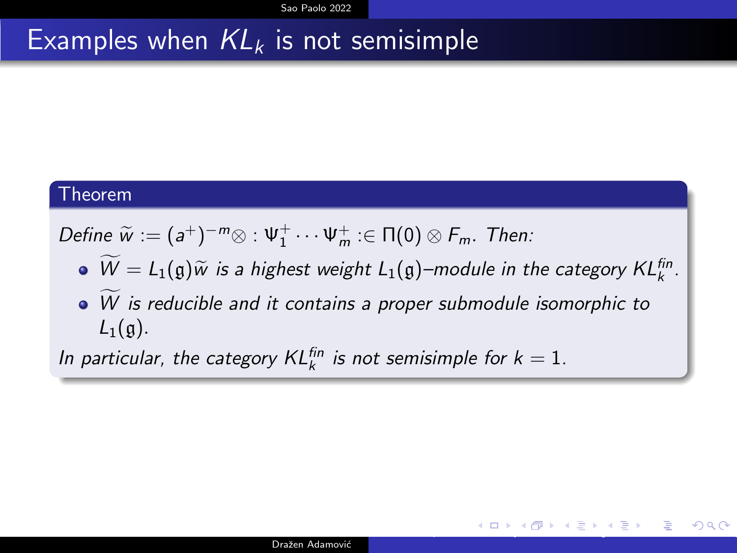### <span id="page-19-0"></span>Examples when  $KL_k$  is not semisimple

### Theorem

# Define  $\widetilde w:=(a^+)^{-m}\otimes:\Psi_1^+\cdots\Psi_m^+:\in \Pi(0)\otimes F_m.$  Then:

 $\widetilde{W} = L_1(\mathfrak{g})\widetilde{w}$  is a highest weight  $L_1(\mathfrak{g})$ -module in the category KL<sup>fin</sup>.

[On the representation theory of affine vertex algebras on conformal and collapsing levels](#page-0-0)

 $\bullet$  W is reducible and it contains a proper submodule isomorphic to  $L_1(\mathfrak{a})$ .

In particular, the category  $KL_k^{fin}$  is not semisimple for  $k = 1$ .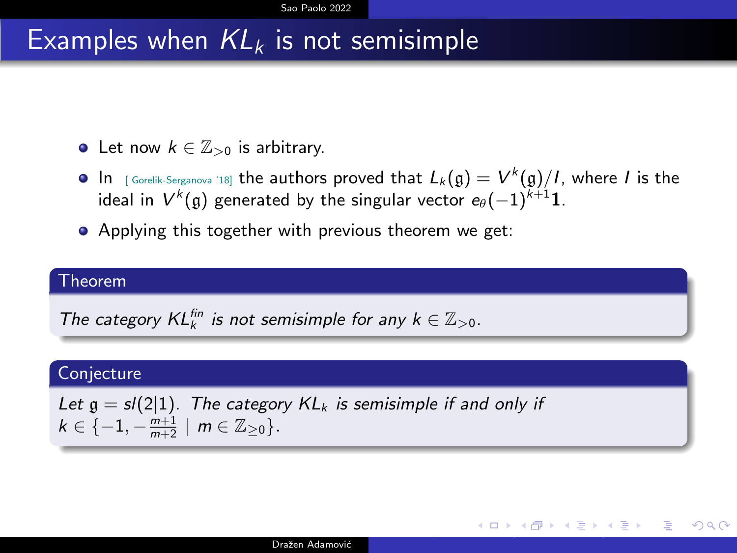### <span id="page-20-0"></span>Examples when  $KL_k$  is not semisimple

• Let now  $k \in \mathbb{Z}_{>0}$  is arbitrary.

In [Gorelik-Serganova '18] the authors proved that  $L_k(\mathfrak{g})=V^k(\mathfrak{g})/I$ , where  $I$  is the ideal in  $V^k(\mathfrak{g})$  generated by the singular vector  $e_\theta(-1)^{k+1}\boldsymbol{1}.$ 

 $\langle \langle \rangle$  the representation theory of  $\langle \rangle$ 

Applying this together with previous theorem we get:

#### Theorem

The category  $KL_k^{fin}$  is not semisimple for any  $k \in \mathbb{Z}_{>0}$ .

#### Conjecture

Let  $g = sl(2|1)$ . The category  $KL_k$  is semisimple if and only if  $k \in \{-1, -\frac{m+1}{m+2} \mid m \in \mathbb{Z}_{\geq 0}\}.$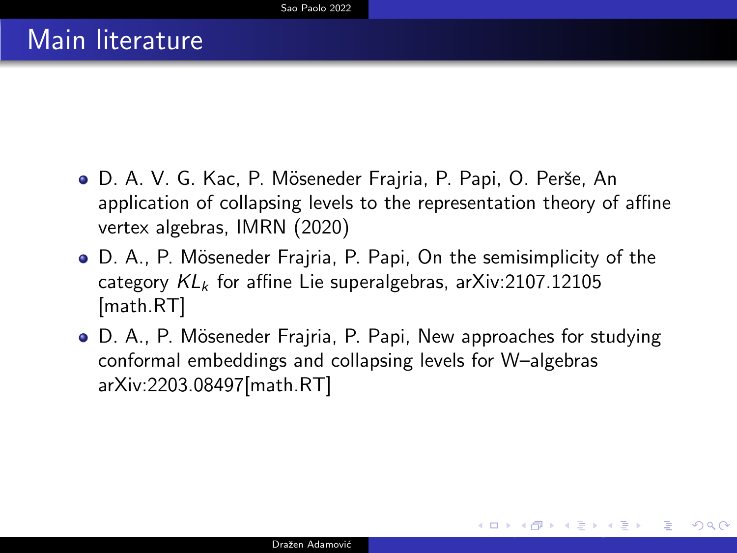- <span id="page-21-0"></span>● D. A. V. G. Kac, P. Möseneder Frajria, P. Papi, O. Perše, An application of collapsing levels to the representation theory of affine vertex algebras, IMRN (2020)
- D. A., P. Möseneder Frajria, P. Papi, On the semisimplicity of the category  $KL_k$  for affine Lie superalgebras, arXiv:2107.12105 [math.RT]
- D. A., P. Möseneder Frajria, P. Papi, New approaches for studying conformal embeddings and collapsing levels for W–algebras arXiv:2203.08497[math.RT]